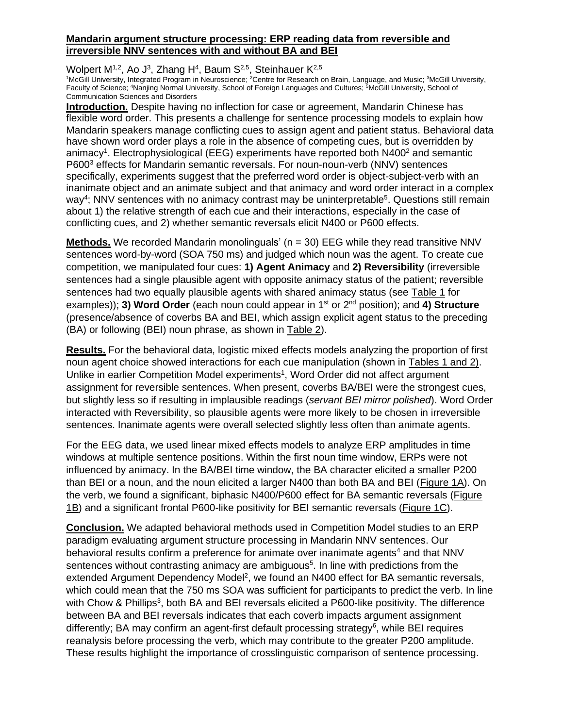## **Mandarin argument structure processing: ERP reading data from reversible and irreversible NNV sentences with and without BA and BEI**

Wolpert M<sup>1,2</sup>, Ao J<sup>3</sup>, Zhang H<sup>4</sup>, Baum S<sup>2,5</sup>, Steinhauer K<sup>2,5</sup>

<sup>1</sup>McGill University, Integrated Program in Neuroscience; <sup>2</sup>Centre for Research on Brain, Language, and Music; <sup>3</sup>McGill University, Faculty of Science; <sup>4</sup>Nanjing Normal University, School of Foreign Languages and Cultures; <sup>5</sup>McGill University, School of Communication Sciences and Disorders

**Introduction.** Despite having no inflection for case or agreement, Mandarin Chinese has flexible word order. This presents a challenge for sentence processing models to explain how Mandarin speakers manage conflicting cues to assign agent and patient status. Behavioral data have shown word order plays a role in the absence of competing cues, but is overridden by animacy<sup>1</sup>. Electrophysiological (EEG) experiments have reported both N400<sup>2</sup> and semantic P600<sup>3</sup> effects for Mandarin semantic reversals. For noun-noun-verb (NNV) sentences specifically, experiments suggest that the preferred word order is object-subject-verb with an inanimate object and an animate subject and that animacy and word order interact in a complex way<sup>4</sup>; NNV sentences with no animacy contrast may be uninterpretable<sup>5</sup>. Questions still remain about 1) the relative strength of each cue and their interactions, especially in the case of conflicting cues, and 2) whether semantic reversals elicit N400 or P600 effects.

**Methods.** We recorded Mandarin monolinguals' (n = 30) EEG while they read transitive NNV sentences word-by-word (SOA 750 ms) and judged which noun was the agent. To create cue competition, we manipulated four cues: **1) Agent Animacy** and **2) Reversibility** (irreversible sentences had a single plausible agent with opposite animacy status of the patient; reversible sentences had two equally plausible agents with shared animacy status (see Table 1 for examples)); 3) Word Order (each noun could appear in 1<sup>st</sup> or 2<sup>nd</sup> position); and 4) Structure (presence/absence of coverbs BA and BEI, which assign explicit agent status to the preceding (BA) or following (BEI) noun phrase, as shown in Table 2).

**Results.** For the behavioral data, logistic mixed effects models analyzing the proportion of first noun agent choice showed interactions for each cue manipulation (shown in Tables 1 and 2). Unlike in earlier Competition Model experiments<sup>1</sup>, Word Order did not affect argument assignment for reversible sentences. When present, coverbs BA/BEI were the strongest cues, but slightly less so if resulting in implausible readings (*servant BEI mirror polished*). Word Order interacted with Reversibility, so plausible agents were more likely to be chosen in irreversible sentences. Inanimate agents were overall selected slightly less often than animate agents.

For the EEG data, we used linear mixed effects models to analyze ERP amplitudes in time windows at multiple sentence positions. Within the first noun time window, ERPs were not influenced by animacy. In the BA/BEI time window, the BA character elicited a smaller P200 than BEI or a noun, and the noun elicited a larger N400 than both BA and BEI (Figure 1A). On the verb, we found a significant, biphasic N400/P600 effect for BA semantic reversals (Figure 1B) and a significant frontal P600-like positivity for BEI semantic reversals (Figure 1C).

**Conclusion.** We adapted behavioral methods used in Competition Model studies to an ERP paradigm evaluating argument structure processing in Mandarin NNV sentences. Our behavioral results confirm a preference for animate over inanimate agents<sup>4</sup> and that NNV sentences without contrasting animacy are ambiguous<sup>5</sup>. In line with predictions from the extended Argument Dependency Model<sup>2</sup>, we found an N400 effect for BA semantic reversals, which could mean that the 750 ms SOA was sufficient for participants to predict the verb. In line with Chow & Phillips<sup>3</sup>, both BA and BEI reversals elicited a P600-like positivity. The difference between BA and BEI reversals indicates that each coverb impacts argument assignment differently; BA may confirm an agent-first default processing strategy<sup>6</sup>, while BEI requires reanalysis before processing the verb, which may contribute to the greater P200 amplitude. These results highlight the importance of crosslinguistic comparison of sentence processing.